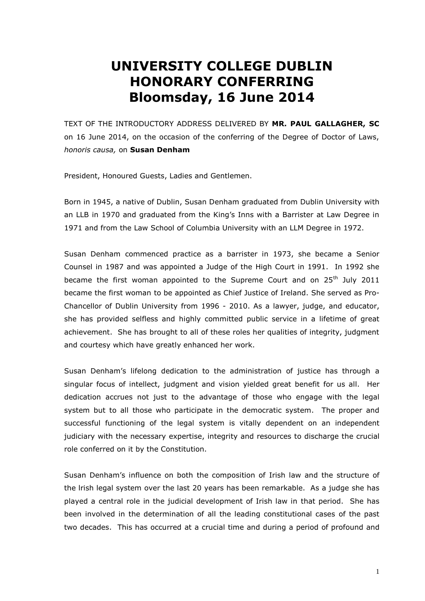## **UNIVERSITY COLLEGE DUBLIN HONORARY CONFERRING Bloomsday, 16 June 2014**

TEXT OF THE INTRODUCTORY ADDRESS DELIVERED BY **MR. PAUL GALLAGHER, SC**  on 16 June 2014, on the occasion of the conferring of the Degree of Doctor of Laws, *honoris causa,* on **Susan Denham**

President, Honoured Guests, Ladies and Gentlemen.

Born in 1945, a native of Dublin, Susan Denham graduated from Dublin University with an LLB in 1970 and graduated from the King's Inns with a Barrister at Law Degree in 1971 and from the Law School of Columbia University with an LLM Degree in 1972.

Susan Denham commenced practice as a barrister in 1973, she became a Senior Counsel in 1987 and was appointed a Judge of the High Court in 1991. In 1992 she became the first woman appointed to the Supreme Court and on  $25<sup>th</sup>$  July 2011 became the first woman to be appointed as Chief Justice of Ireland. She served as Pro-Chancellor of Dublin University from 1996 - 2010. As a lawyer, judge, and educator, she has provided selfless and highly committed public service in a lifetime of great achievement. She has brought to all of these roles her qualities of integrity, judgment and courtesy which have greatly enhanced her work.

Susan Denham's lifelong dedication to the administration of justice has through a singular focus of intellect, judgment and vision yielded great benefit for us all. Her dedication accrues not just to the advantage of those who engage with the legal system but to all those who participate in the democratic system. The proper and successful functioning of the legal system is vitally dependent on an independent judiciary with the necessary expertise, integrity and resources to discharge the crucial role conferred on it by the Constitution.

Susan Denham's influence on both the composition of Irish law and the structure of the lrish legal system over the last 20 years has been remarkable. As a judge she has played a central role in the judicial development of Irish law in that period. She has been involved in the determination of all the leading constitutional cases of the past two decades. This has occurred at a crucial time and during a period of profound and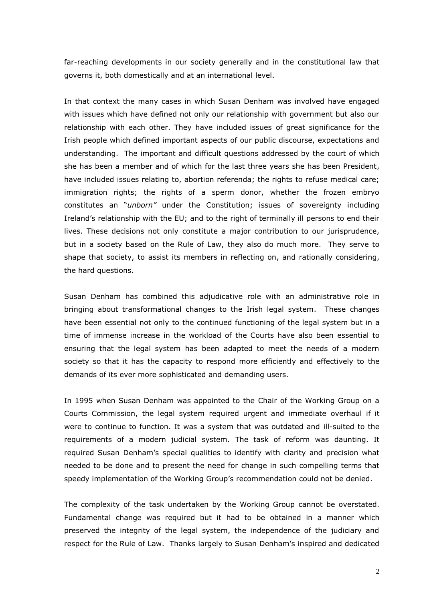far-reaching developments in our society generally and in the constitutional law that governs it, both domestically and at an international level.

In that context the many cases in which Susan Denham was involved have engaged with issues which have defined not only our relationship with government but also our relationship with each other. They have included issues of great significance for the Irish people which defined important aspects of our public discourse, expectations and understanding. The important and difficult questions addressed by the court of which she has been a member and of which for the last three years she has been President, have included issues relating to, abortion referenda; the rights to refuse medical care; immigration rights; the rights of a sperm donor, whether the frozen embryo constitutes an "*unborn"* under the Constitution; issues of sovereignty including Ireland's relationship with the EU; and to the right of terminally ill persons to end their lives. These decisions not only constitute a major contribution to our jurisprudence, but in a society based on the Rule of Law, they also do much more. They serve to shape that society, to assist its members in reflecting on, and rationally considering, the hard questions.

Susan Denham has combined this adjudicative role with an administrative role in bringing about transformational changes to the Irish legal system. These changes have been essential not only to the continued functioning of the legal system but in a time of immense increase in the workload of the Courts have also been essential to ensuring that the legal system has been adapted to meet the needs of a modern society so that it has the capacity to respond more efficiently and effectively to the demands of its ever more sophisticated and demanding users.

In 1995 when Susan Denham was appointed to the Chair of the Working Group on a Courts Commission, the legal system required urgent and immediate overhaul if it were to continue to function. It was a system that was outdated and ill-suited to the requirements of a modern judicial system. The task of reform was daunting. It required Susan Denham's special qualities to identify with clarity and precision what needed to be done and to present the need for change in such compelling terms that speedy implementation of the Working Group's recommendation could not be denied.

The complexity of the task undertaken by the Working Group cannot be overstated. Fundamental change was required but it had to be obtained in a manner which preserved the integrity of the legal system, the independence of the judiciary and respect for the Rule of Law. Thanks largely to Susan Denham's inspired and dedicated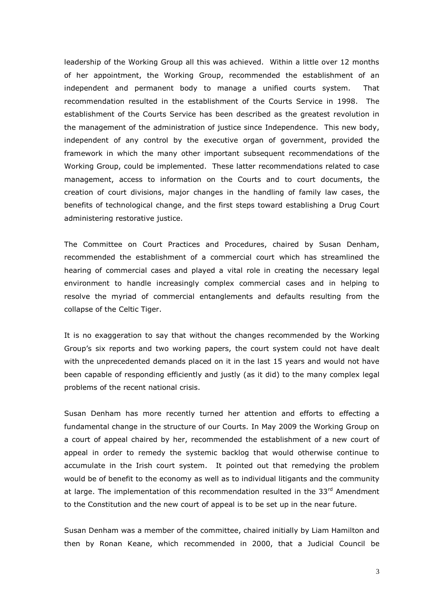leadership of the Working Group all this was achieved. Within a little over 12 months of her appointment, the Working Group, recommended the establishment of an independent and permanent body to manage a unified courts system. That recommendation resulted in the establishment of the Courts Service in 1998. The establishment of the Courts Service has been described as the greatest revolution in the management of the administration of justice since Independence. This new body, independent of any control by the executive organ of government, provided the framework in which the many other important subsequent recommendations of the Working Group, could be implemented. These latter recommendations related to case management, access to information on the Courts and to court documents, the creation of court divisions, major changes in the handling of family law cases, the benefits of technological change, and the first steps toward establishing a Drug Court administering restorative justice.

The Committee on Court Practices and Procedures, chaired by Susan Denham, recommended the establishment of a commercial court which has streamlined the hearing of commercial cases and played a vital role in creating the necessary legal environment to handle increasingly complex commercial cases and in helping to resolve the myriad of commercial entanglements and defaults resulting from the collapse of the Celtic Tiger.

It is no exaggeration to say that without the changes recommended by the Working Group's six reports and two working papers, the court system could not have dealt with the unprecedented demands placed on it in the last 15 years and would not have been capable of responding efficiently and justly (as it did) to the many complex legal problems of the recent national crisis.

Susan Denham has more recently turned her attention and efforts to effecting a fundamental change in the structure of our Courts. In May 2009 the Working Group on a court of appeal chaired by her, recommended the establishment of a new court of appeal in order to remedy the systemic backlog that would otherwise continue to accumulate in the Irish court system. It pointed out that remedying the problem would be of benefit to the economy as well as to individual litigants and the community at large. The implementation of this recommendation resulted in the  $33<sup>rd</sup>$  Amendment to the Constitution and the new court of appeal is to be set up in the near future.

Susan Denham was a member of the committee, chaired initially by Liam Hamilton and then by Ronan Keane, which recommended in 2000, that a Judicial Council be